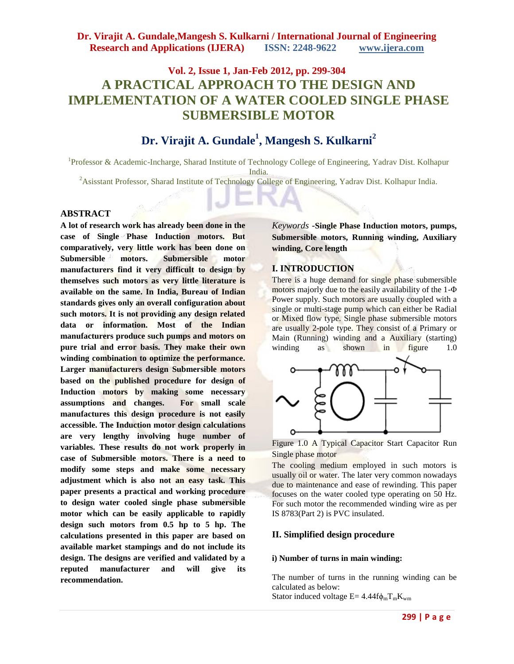# **Vol. 2, Issue 1, Jan-Feb 2012, pp. 299-304 A PRACTICAL APPROACH TO THE DESIGN AND IMPLEMENTATION OF A WATER COOLED SINGLE PHASE SUBMERSIBLE MOTOR**

# **Dr. Virajit A. Gundale<sup>1</sup> , Mangesh S. Kulkarni<sup>2</sup>**

<sup>1</sup>Professor & Academic-Incharge, Sharad Institute of Technology College of Engineering, Yadrav Dist. Kolhapur India.

<sup>2</sup>Asisstant Professor, Sharad Institute of Technology College of Engineering, Yadrav Dist. Kolhapur India.

### **ABSTRACT**

**A lot of research work has already been done in the case of Single Phase Induction motors. But comparatively, very little work has been done on Submersible motors. Submersible motor manufacturers find it very difficult to design by themselves such motors as very little literature is available on the same. In India, Bureau of Indian standards gives only an overall configuration about such motors. It is not providing any design related data or information. Most of the Indian manufacturers produce such pumps and motors on pure trial and error basis. They make their own winding combination to optimize the performance. Larger manufacturers design Submersible motors based on the published procedure for design of Induction motors by making some necessary assumptions and changes. For small scale manufactures this design procedure is not easily accessible. The Induction motor design calculations are very lengthy involving huge number of variables. These results do not work properly in case of Submersible motors. There is a need to modify some steps and make some necessary adjustment which is also not an easy task. This paper presents a practical and working procedure to design water cooled single phase submersible motor which can be easily applicable to rapidly design such motors from 0.5 hp to 5 hp. The calculations presented in this paper are based on available market stampings and do not include its design. The designs are verified and validated by a reputed manufacturer and will give its recommendation.**

*Keywords -***Single Phase Induction motors, pumps, Submersible motors, Running winding, Auxiliary winding, Core length**

### **I. INTRODUCTION**

There is a huge demand for single phase submersible motors majorly due to the easily availability of the 1-Φ Power supply. Such motors are usually coupled with a single or multi-stage pump which can either be Radial or Mixed flow type. Single phase submersible motors are usually 2-pole type. They consist of a Primary or Main (Running) winding and a Auxiliary (starting) winding as shown in figure 1.0



Figure 1.0 A Typical Capacitor Start Capacitor Run Single phase motor

The cooling medium employed in such motors is usually oil or water. The later very common nowadays due to maintenance and ease of rewinding. This paper focuses on the water cooled type operating on 50 Hz. For such motor the recommended winding wire as per IS 8783(Part 2) is PVC insulated.

### **II. Simplified design procedure**

### **i) Number of turns in main winding:**

The number of turns in the running winding can be calculated as below:

Stator induced voltage  $E = 4.44f\phi_mT_mK_{wm}$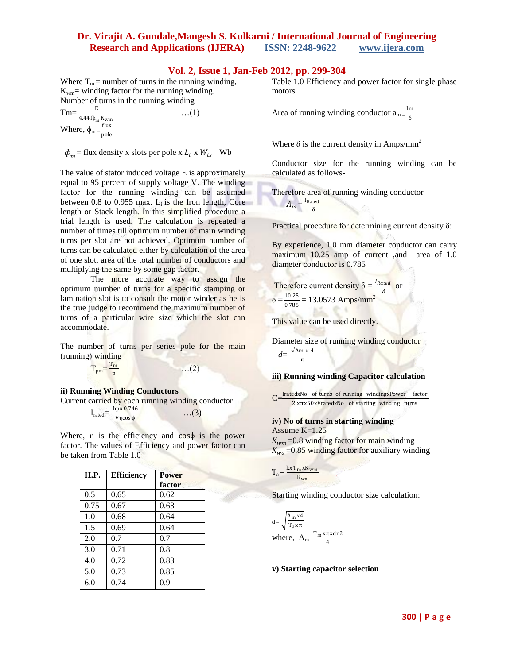### **Vol. 2, Issue 1, Jan-Feb 2012, pp. 299-304**

Where  $T_m$  = number of turns in the running winding,  $K_{wm}$ = winding factor for the running winding. Number of turns in the running winding

 $\text{Tm} = \frac{E}{4.44 \text{f} \phi_{\text{m}} \text{K}_{\text{wm}}}$ …(1) Where,  $\phi_m = \frac{flux}{pole}$ 

 $\phi_m$  = flux density x slots per pole x  $L_i$  x  $W_{ts}$  Wb

The value of stator induced voltage E is approximately equal to 95 percent of supply voltage V. The winding factor for the running winding can be assumed between 0.8 to 0.955 max.  $L_i$  is the Iron length, Core length or Stack length. In this simplified procedure a trial length is used. The calculation is repeated a number of times till optimum number of main winding turns per slot are not achieved. Optimum number of turns can be calculated either by calculation of the area of one slot, area of the total number of conductors and multiplying the same by some gap factor.

The more accurate way to assign the optimum number of turns for a specific stamping or lamination slot is to consult the motor winder as he is the true judge to recommend the maximum number of turns of a particular wire size which the slot can accommodate.

The number of turns per series pole for the main (running) winding

$$
T_{pm} = \frac{T_m}{p} \qquad \qquad \dots (2)
$$

### **ii) Running Winding Conductors**

Current carried by each running winding conductor

$$
I_{\text{rated}} = \frac{\text{hpx 0.746}}{V \eta \cos \phi} \qquad \qquad \dots
$$

Where,  $\eta$  is the efficiency and cos $\phi$  is the power factor. The values of Efficiency and power factor can be taken from Table 1.0

…(3)

| <b>H.P.</b> | <b>Efficiency</b> | <b>Power</b><br>factor |
|-------------|-------------------|------------------------|
| 0.5         | 0.65              | 0.62                   |
| 0.75        | 0.67              | 0.63                   |
| 1.0         | 0.68              | 0.64                   |
| 1.5         | 0.69              | 0.64                   |
| 2.0         | 0.7               | 0.7                    |
| 3.0         | 0.71              | 0.8                    |
| 4.0         | 0.72              | 0.83                   |
| 5.0         | 0.73              | 0.85                   |
| 6.0         | 0.74              | 0.9                    |

Table 1.0 Efficiency and power factor for single phase motors

Area of running winding conductor  $a_m = \frac{Im}{s}$ δ

Where  $\delta$  is the current density in Amps/mm<sup>2</sup>

Conductor size for the running winding can be calculated as follows-

Therefore area of running winding conductor  $A_m = \frac{I_{\text{Rated}}}{s}$ δ

Practical procedure for determining current density δ:

By experience, 1.0 mm diameter conductor can carry maximum 10.25 amp of current ,and area of 1.0 diameter conductor is 0.785

Therefore current density  $\delta = \frac{I_{Rate}}{4}$  $A \over A$  or

$$
\delta = \frac{10.25}{0.785} = 13.0573 \text{ Amps/mm}^2
$$

This value can be used directly.

Diameter size of running winding conductor  $d = \frac{\sqrt{\text{Am } x \cdot 4}}{x}$ π

**iii) Running winding Capacitor calculation** 

$$
C = \frac{|\text{ratedxNo} \text{ of turns of running winding.} \text{winding.} \text{Factor} \text{Factor}}{2 \times \pi x 50 \times \text{VratedxNo} \text{ of starting winding turns}}
$$

#### **iv) No of turns in starting winding** Assume K=1.25

 $K_{wm}$  =0.8 winding factor for main winding  $K_{wa}$  =0.85 winding factor for auxiliary winding

$$
T_a = \frac{\mathrm{k} \mathrm{x} \, T_m \, \mathrm{x} K_{wm}}{K_{wa}}
$$

Starting winding conductor size calculation:

$$
d = \sqrt{\frac{A_m x 4}{T_a x \pi}}
$$
  
where,  $A_{m} = \frac{T_m x \pi x dr 2}{4}$ 

**v) Starting capacitor selection**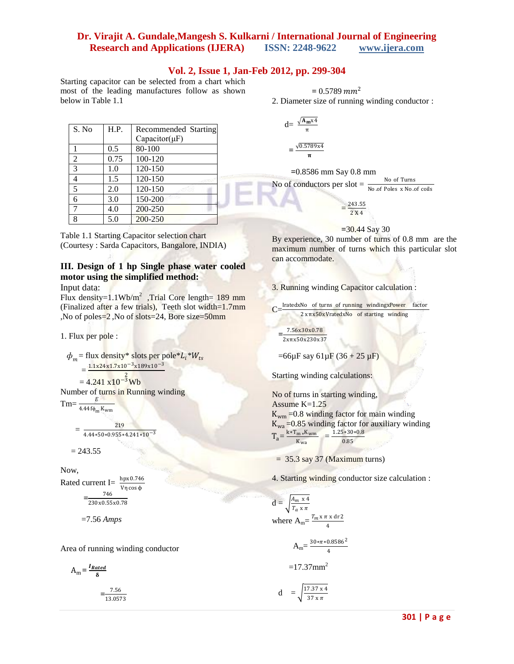### **Vol. 2, Issue 1, Jan-Feb 2012, pp. 299-304**

Starting capacitor can be selected from a chart which most of the leading manufactures follow as shown below in Table 1.1

| S. No         | H.P. | <b>Recommended Starting</b> |
|---------------|------|-----------------------------|
|               |      | $Capacitor(\mu F)$          |
|               | 0.5  | 80-100                      |
| 2             | 0.75 | 100-120                     |
| $\mathcal{F}$ | 1.0  | 120-150                     |
|               | 1.5  | 120-150                     |
| 5             | 2.0  | 120-150                     |
|               | 3.0  | 150-200                     |
|               | 4.0  | 200-250                     |
|               | 5.0  | 200-250                     |

Table 1.1 Starting Capacitor selection chart (Courtesy : Sarda Capacitors, Bangalore, INDIA)

# **III. Design of 1 hp Single phase water cooled motor using the simplified method:**

Input data:

Flux density= $1.1 \text{Wb/m}^2$ , Trial Core length= 189 mm (Finalized after a few trials), Teeth slot width=1.7mm ,No of poles=2 ,No of slots=24, Bore size=50mm

1. Flux per pole :

$$
\phi_m = \text{flux density* slots per pole*}L_i * W_{ts}
$$
  
= 
$$
\frac{1.1 \times 24 \times 1.7 \times 10^{-3} \times 189 \times 10^{-3}}{2}
$$
  
= 4.241 x 10<sup>-3</sup> Wb  
Number of turns in Running winding

$$
Tm = \frac{E}{4.44 f \phi_m K_{wm}}
$$

 $=$ 219 4.44∗50∗0.955∗4.241∗10−3

 $= 243.55$ 

Now,

Rated current I=  $\frac{hpx0.746}{v}$ Vηcos ϕ  **=** 746  $-\frac{1}{230x0.55x0.78}$ 

=7.56 *Amps*

Area of running winding conductor

 $A_m = \frac{I_{Rated}}{s}$ δ  $=\frac{7.56}{12.055}$ 13.0573

 $= 0.5789$   $mm<sup>2</sup>$ 2. Diameter size of running winding conductor :

$$
d = \frac{\sqrt{A_m x 4}}{\pi}
$$

$$
= \frac{\sqrt{0.5789 x 4}}{\pi}
$$

 **=**0.8586 mm Say 0.8 mm

No of conductors per slot =  $\frac{N_o \text{ of Turns}}{N_o \text{ of } N_o}$ No .of Poles x No .of coils

 $\sim$ 243.55 2 X 4

 **=**30.44 Say 30

By experience, 30 number of turns of 0.8 mm are the maximum number of turns which this particular slot can accommodate.

3. Running winding Capacitor calculation :

```
C=IratedxNo of turns of running windingxPower factor
2 xπx50xVratedxNo of starting winding
```
 $=\frac{7.30 \times 30 \times 0.76}{2 \times \pi \times 50 \times 230 \times 37}$ 7.56x30x0.78

 $=66\mu$ F say 61 $\mu$ F (36 + 25  $\mu$ F)

Starting winding calculations:

No of turns in starting winding, Assume K=1.25  $K_{wm} = 0.8$  winding factor for main winding  $K_{wa} = 0.85$  winding factor for auxiliary winding  $T_a = \frac{k*T_m*K_{wm}}{K}$  $\frac{m*K_{wm}}{K_{wa}} = \frac{1.25*30*0.8}{0.85}$ 0.85

 $=$  35.3 say 37 (Maximum turns)

4. Starting winding conductor size calculation :

$$
d = \sqrt{\frac{A_m \times 4}{T_a \times \pi}}
$$
  
where  $A_m = \frac{T_m \times \pi \times dr^2}{4}$   

$$
A_m = \frac{30 * \pi * 0.8586^2}{4}
$$
  

$$
= 17.37 \text{ mm}^2
$$
  

$$
d = \sqrt{\frac{17.37 \times 4}{27.81}}
$$

 $37 x \pi$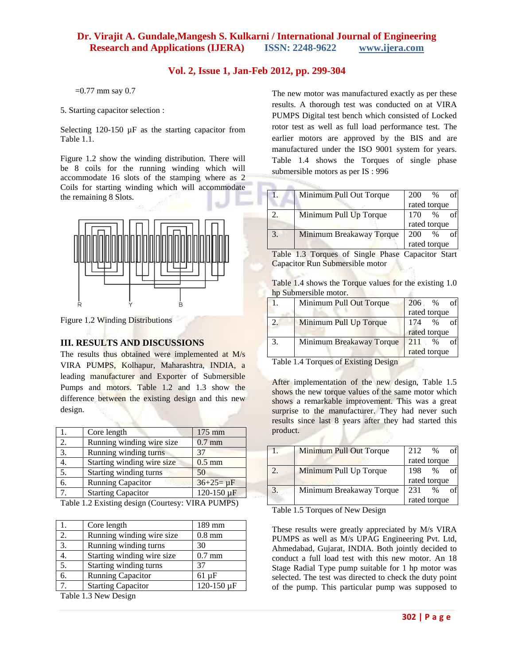### **Vol. 2, Issue 1, Jan-Feb 2012, pp. 299-304**

 $=0.77$  mm say 0.7

5. Starting capacitor selection :

Selecting  $120-150 \mu$ F as the starting capacitor from Table 1.1.

Figure 1.2 show the winding distribution. There will be 8 coils for the running winding which will accommodate 16 slots of the stamping where as 2 Coils for starting winding which will accommodate the remaining 8 Slots.



Figure 1.2 Winding Distributions

### **III. RESULTS AND DISCUSSIONS**

The results thus obtained were implemented at M/s VIRA PUMPS, Kolhapur, Maharashtra, INDIA, a leading manufacturer and Exporter of Submersible Pumps and motors. Table 1.2 and 1.3 show the difference between the existing design and this new design.

|          | Core length                | $175$ mm          |
|----------|----------------------------|-------------------|
| $\gamma$ | Running winding wire size  | $0.7$ mm          |
| 3.       | Running winding turns      | 37                |
|          | Starting winding wire size | $0.5$ mm          |
| 5.       | Starting winding turns     | 50                |
| 6.       | <b>Running Capacitor</b>   | $36+25= \mu F$    |
| 7        | <b>Starting Capacitor</b>  | $120 - 150 \mu F$ |
| --       | .                          |                   |

Table 1.2 Existing design (Courtesy: VIRA PUMPS)

|                          | Core length                | 189 mm            |  |
|--------------------------|----------------------------|-------------------|--|
| 2 <sub>1</sub>           | Running winding wire size  | $0.8$ mm          |  |
| 3.                       | Running winding turns      | 30                |  |
|                          | Starting winding wire size | $0.7$ mm          |  |
| 5.                       | Starting winding turns     | 37                |  |
| 6.                       | <b>Running Capacitor</b>   | $61 \mu F$        |  |
|                          | <b>Starting Capacitor</b>  | $120 - 150 \mu F$ |  |
| $T1.1.1.1.2M$ $R1.1.1.1$ |                            |                   |  |

Table 1.3 New Design

The new motor was manufactured exactly as per these results. A thorough test was conducted on at VIRA PUMPS Digital test bench which consisted of Locked rotor test as well as full load performance test. The earlier motors are approved by the BIS and are manufactured under the ISO 9001 system for years. Table 1.4 shows the Torques of single phase submersible motors as per IS : 996

|                  | Minimum Pull Out Torque                     | 200          | $\%$                  |  |
|------------------|---------------------------------------------|--------------|-----------------------|--|
|                  |                                             | rated torque |                       |  |
| 2.               | Minimum Pull Up Torque                      | 170          | %                     |  |
|                  |                                             | rated torque |                       |  |
| $\overline{3}$ . | Minimum Breakaway Torque                    | 200 %        |                       |  |
|                  |                                             | rated torque |                       |  |
|                  | $\sim$ $\sim$<br>$\sim$ $\sim$<br><b>TM</b> | $\sim$       | $\cdot$ $\sim$ $\sim$ |  |

Table 1.3 Torques of Single Phase Capacitor Start Capacitor Run Submersible motor

Table 1.4 shows the Torque values for the existing 1.0 hp Submersible motor. J.

|    | Minimum Pull Out Torque  | $206 \t%$<br>of |
|----|--------------------------|-----------------|
|    |                          | rated torque    |
|    | Minimum Pull Up Torque   | $\%$<br>174     |
|    |                          | rated torque    |
| 3. | Minimum Breakaway Torque | $211 \t%$       |
|    |                          | rated torque    |

Table 1.4 Torques of Existing Design

After implementation of the new design, Table 1.5 shows the new torque values of the same motor which shows a remarkable improvement. This was a great surprise to the manufacturer. They had never such results since last 8 years after they had started this product.

|    | Minimum Pull Out Torque  | 212          | $\%$ |  |
|----|--------------------------|--------------|------|--|
|    |                          | rated torque |      |  |
| 2. | Minimum Pull Up Torque   | 198          | $\%$ |  |
|    |                          | rated torque |      |  |
| 3. | Minimum Breakaway Torque | 231          | $\%$ |  |
|    |                          | rated torque |      |  |

Table 1.5 Torques of New Design

These results were greatly appreciated by M/s VIRA PUMPS as well as M/s UPAG Engineering Pvt. Ltd, Ahmedabad, Gujarat, INDIA. Both jointly decided to conduct a full load test with this new motor. An 18 Stage Radial Type pump suitable for 1 hp motor was selected. The test was directed to check the duty point of the pump. This particular pump was supposed to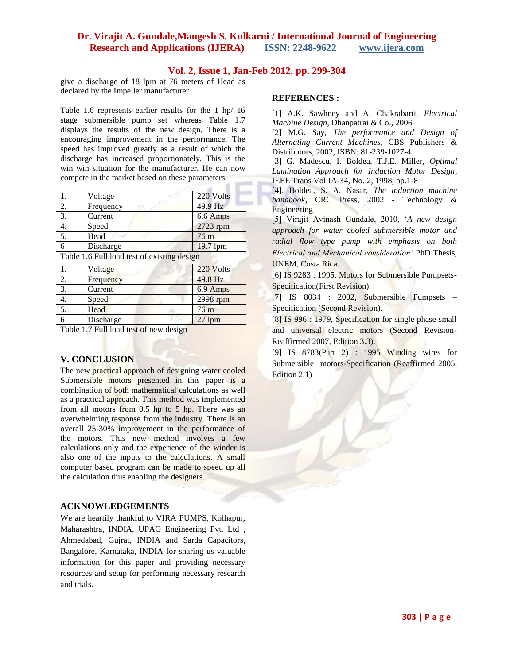### **Vol. 2, Issue 1, Jan-Feb 2012, pp. 299-304**

give a discharge of 18 lpm at 76 meters of Head as declared by the Impeller manufacturer.

Table 1.6 represents earlier results for the 1 hp/ 16 stage submersible pump set whereas Table 1.7 displays the results of the new design. There is a encouraging improvement in the performance. The speed has improved greatly as a result of which the discharge has increased proportionately. This is the win win situation for the manufacturer. He can now compete in the market based on these parameters.

| Voltage   | 220 Volts |
|-----------|-----------|
| Frequency | 49.9 Hz   |
| Current   | 6.6 Amps  |
| Speed     | 2723 rpm  |
| Head      | 76 m      |
| Discharge | 19.7 lpm  |

Table 1.6 Full load test of existing design

|    | Voltage   | 220 Volts       |
|----|-----------|-----------------|
|    | Frequency | 49.8 Hz         |
| 3. | Current   | 6.9 Amps        |
| ч. | Speed     | 2998 rpm        |
|    | Head      | 76 <sub>m</sub> |
|    | Discharge | $27$ lpm        |

Table 1.7 Full load test of new design

### **V. CONCLUSION**

The new practical approach of designing water cooled Submersible motors presented in this paper is a combination of both mathematical calculations as well as a practical approach. This method was implemented from all motors from 0.5 hp to 5 hp. There was an overwhelming response from the industry. There is an overall 25-30% improvement in the performance of the motors. This new method involves a few calculations only and the experience of the winder is also one of the inputs to the calculations. A small computer based program can be made to speed up all the calculation thus enabling the designers.

### **ACKNOWLEDGEMENTS**

We are heartily thankful to VIRA PUMPS, Kolhapur, Maharashtra, INDIA, UPAG Engineering Pvt. Ltd , Ahmedabad, Gujrat, INDIA and Sarda Capacitors, Bangalore, Karnataka, INDIA for sharing us valuable information for this paper and providing necessary resources and setup for performing necessary research and trials.

### **REFERENCES :**

[1] A.K. Sawhney and A. Chakrabarti, *Electrical Machine Design,* Dhanpatrai & Co., 2006

[2] M.G. Say, *The performance and Design of Alternating Current Machines*, CBS Publishers & Distributors, 2002, ISBN: 81-239-1027-4.

[3] G. Madescu, I. Boldea, T.J.E. Miller, *Optimal Lamination Approach for Induction Motor Design*, IEEE Trans Vol.IA-34, No. 2, 1998, pp.1-8

[4[\]. Boldea,](http://www.google.co.uk/search?tbo=p&tbm=bks&q=inauthor:%22I.+Boldea%22) [S. A. Nasar,](http://www.google.co.uk/search?tbo=p&tbm=bks&q=inauthor:%22S.+A.+Nasar%22) *The induction machine handbook*, CRC Press, 2002 - [Technology &](http://www.google.co.uk/search?tbo=p&tbm=bks&q=subject:%22Technology+%26+Engineering%22&source=gbs_ge_summary_r&cad=0)  [Engineering](http://www.google.co.uk/search?tbo=p&tbm=bks&q=subject:%22Technology+%26+Engineering%22&source=gbs_ge_summary_r&cad=0)

[5] Virajit Avinash Gundale, 2010, '*A new design approach for water cooled submersible motor and radial flow type pump with emphasis on both Electrical and Mechanical consideration'* PhD Thesis, UNEM, Costa Rica.

[6] IS 9283 : 1995, Motors for Submersible Pumpsets-Specification(First Revision).

[7] IS 8034 : 2002, Submersible Pumpsets – Specification (Second Revision).

[8] IS 996 : 1979, Specification for single phase small and universal electric motors (Second Revision-Reaffirmed 2007, Edition 3.3).

[9] IS 8783(Part 2) : 1995 Winding wires for Submersible motors-Specification (Reaffirmed 2005, Edition 2.1)